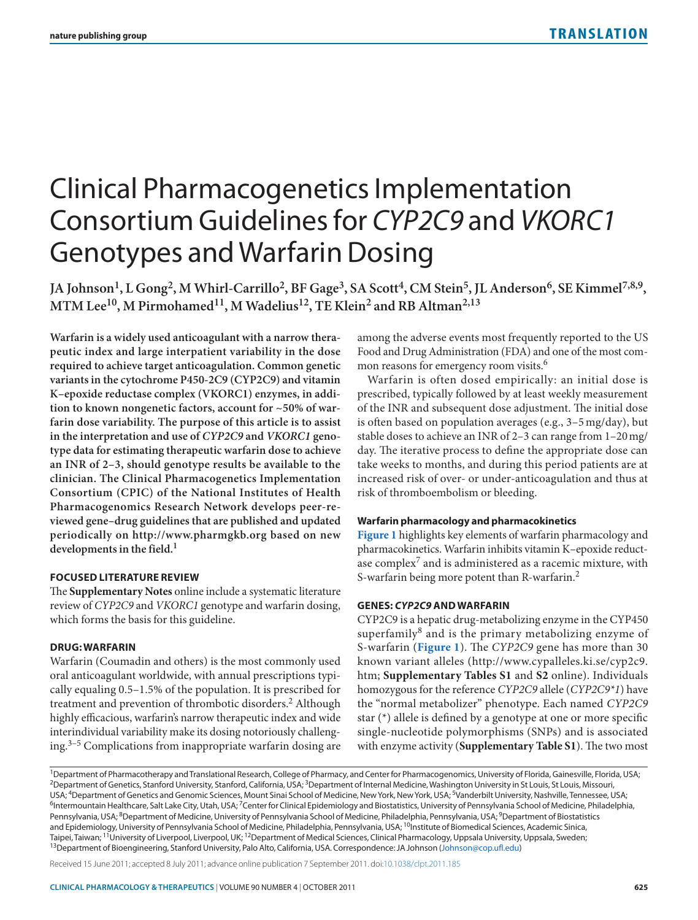# Clinical Pharmacogenetics Implementation Consortium Guidelines for *CYP2C9* and *VKORC1* Genotypes and Warfarin Dosing

JA Johnson<sup>1</sup>, L Gong<sup>2</sup>, M Whirl-Carrillo<sup>2</sup>, BF Gage<sup>3</sup>, SA Scott<sup>4</sup>, CM Stein<sup>5</sup>, JL Anderson<sup>6</sup>, SE Kimmel<sup>7,8,9</sup>, MTM Lee<sup>10</sup>, M Pirmohamed<sup>11</sup>, M Wadelius<sup>12</sup>, TE Klein<sup>2</sup> and RB Altman<sup>2,13</sup>

**Warfarin is a widely used anticoagulant with a narrow therapeutic index and large interpatient variability in the dose required to achieve target anticoagulation. Common genetic variants in the cytochrome P450-2C9 (CYP2C9) and vitamin K–epoxide reductase complex (VKORC1) enzymes, in addition to known nongenetic factors, account for ~50% of warfarin dose variability. The purpose of this article is to assist in the interpretation and use of** *CYP2C9* **and** *VKORC1* **genotype data for estimating therapeutic warfarin dose to achieve an INR of 2–3, should genotype results be available to the clinician. The Clinical Pharmacogenetics Implementation Consortium (CPIC) of the National Institutes of Health Pharmacogenomics Research Network develops peer-reviewed gene–drug guidelines that are published and updated periodically on <http://www.pharmgkb.org> based on new developments in the field.1**

## **Focused Literature Review**

The **Supplementary Notes** online include a systematic literature review of *CYP2C9* and *VKORC1* genotype and warfarin dosing, which forms the basis for this guideline.

#### **Drug: Warfarin**

Warfarin (Coumadin and others) is the most commonly used oral anticoagulant worldwide, with annual prescriptions typically equaling 0.5–1.5% of the population. It is prescribed for treatment and prevention of thrombotic disorders.<sup>2</sup> Although highly efficacious, warfarin's narrow therapeutic index and wide interindividual variability make its dosing notoriously challenging.3–5 Complications from inappropriate warfarin dosing are

among the adverse events most frequently reported to the US Food and Drug Administration (FDA) and one of the most common reasons for emergency room visits.<sup>6</sup>

Warfarin is often dosed empirically: an initial dose is prescribed, typically followed by at least weekly measurement of the INR and subsequent dose adjustment. The initial dose is often based on population averages (e.g., 3–5 mg/day), but stable doses to achieve an INR of 2–3 can range from 1–20mg/ day. The iterative process to define the appropriate dose can take weeks to months, and during this period patients are at increased risk of over- or under-anticoagulation and thus at risk of thromboembolism or bleeding.

#### **Warfarin pharmacology and pharmacokinetics**

**[Figure](#page-1-0) 1** highlights key elements of warfarin pharmacology and pharmacokinetics. Warfarin inhibits vitamin K–epoxide reductase complex7 and is administered as a racemic mixture, with S-warfarin being more potent than R-warfarin.<sup>2</sup>

#### **Genes:** *Cyp2c9* **and Warfarin**

CYP2C9 is a hepatic drug-metabolizing enzyme in the CYP450 superfamily<sup>8</sup> and is the primary metabolizing enzyme of S-warfarin (**[Figure](#page-1-0) 1**). The *CYP2C9* gene has more than 30 known variant alleles ([http://www.cypalleles.ki.se/cyp2c9.](http://www.cypalleles.ki.se/cyp2c9.htm;) [htm;](http://www.cypalleles.ki.se/cyp2c9.htm;) **Supplementary Tables S1** and **S2** online). Individuals homozygous for the reference *CYP2C9* allele (*CYP2C9\*1*) have the "normal metabolizer" phenotype. Each named *CYP2C9* star (\*) allele is defined by a genotype at one or more specific single-nucleotide polymorphisms (SNPs) and is associated with enzyme activity (**Supplementary Table S1**). The two most

<sup>1</sup>Department of Pharmacotherapy and Translational Research, College of Pharmacy, and Center for Pharmacogenomics, University of Florida, Gainesville, Florida, USA;<br><sup>2</sup>Department of Genetics, Stanford University, Stanford, USA; <sup>4</sup>Department of Genetics and Genomic Sciences, Mount Sinai School of Medicine, New York, USA; <sup>5</sup>Vanderbilt University, Nashville, Tennessee, USA;<br><sup>6</sup>Intermountain Healthcare, Salt Lake City, Utah, USA; <sup>7</sup>Center for Pennsylvania, USA; <sup>8</sup>Department of Medicine, University of Pennsylvania School of Medicine, Philadelphia, Pennsylvania, USA; <sup>9</sup>Department of Biostatistics and Epidemiology, University of Pennsylvania School of Medicine, Philadelphia, Pennsylvania, USA; <sup>10</sup>Institute of Biomedical Sciences, Academic Sinica, Taipei, Taiwan; <sup>11</sup>University of Liverpool, Liverpool, UK; <sup>12</sup>Department of Medical Sciences, Clinical Pharmacology, Uppsala University, Uppsala, Sweden;<br><sup>13</sup>Department of Bioengineering, Stanford University, Palo Alto,

Received 15 June 2011; accepted 8 July 2011; advance online publication 7 September 2011. [doi:10.1038/clpt.2011.185](http://www.nature.com/doifinder/doi:10.1038/clpt.2011.185)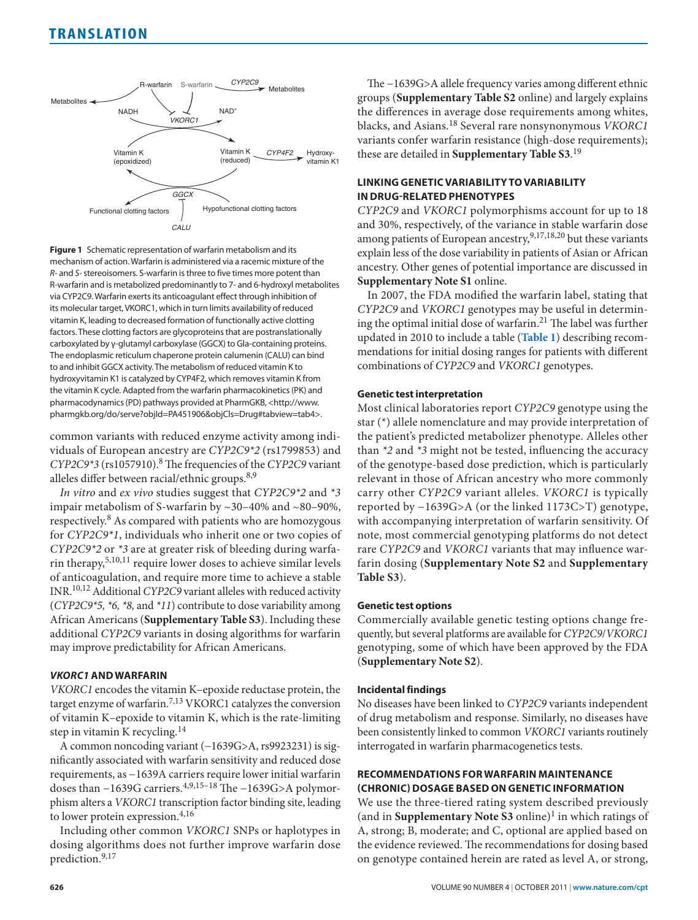<span id="page-1-0"></span>

**Figure 1** Schematic representation of warfarin metabolism and its mechanism of action. Warfarin is administered via a racemic mixture of the *R*- and *S*- stereoisomers. S-warfarin is three to five times more potent than R-warfarin and is metabolized predominantly to 7- and 6-hydroxyl metabolites via CYP2C9. Warfarin exerts its anticoagulant effect through inhibition of its molecular target, VKORC1, which in turn limits availability of reduced vitamin K, leading to decreased formation of functionally active clotting factors. These clotting factors are glycoproteins that are postranslationally carboxylated by γ-glutamyl carboxylase (GGCX) to Gla-containing proteins. The endoplasmic reticulum chaperone protein calumenin (CALU) can bind to and inhibit GGCX activity. The metabolism of reduced vitamin K to hydroxyvitamin K1 is catalyzed by CYP4F2, which removes vitamin K from the vitamin K cycle. Adapted from the warfarin pharmacokinetics (PK) and pharmacodynamics (PD) pathways provided at PharmGKB, [<http://www.](<http://www.pharmgkb.org/do/serve?objId=PA451906&objCls=Drug#tabview=tab4>.) [pharmgkb.org/do/serve?objId=PA451906&objCls=Drug#tabview=tab4>.](<http://www.pharmgkb.org/do/serve?objId=PA451906&objCls=Drug#tabview=tab4>.)

common variants with reduced enzyme activity among individuals of European ancestry are *CYP2C9\*2* (rs1799853) and *CYP2C9\*3* (rs1057910).8 The frequencies of the *CYP2C9* variant alleles differ between racial/ethnic groups.<sup>8,9</sup>

*In vitro* and *ex vivo* studies suggest that *CYP2C9\*2* and *\*3* impair metabolism of S-warfarin by ~30–40% and ~80–90%, respectively.8 As compared with patients who are homozygous for *CYP2C9\*1*, individuals who inherit one or two copies of *CYP2C9\*2* or *\*3* are at greater risk of bleeding during warfarin therapy,5,10,11 require lower doses to achieve similar levels of anticoagulation, and require more time to achieve a stable INR.10,12 Additional *CYP2C9* variant alleles with reduced activity (*CYP2C9\*5, \*6, \*8,* and *\*11*) contribute to dose variability among African Americans (**Supplementary Table S3**). Including these additional *CYP2C9* variants in dosing algorithms for warfarin may improve predictability for African Americans.

# *Vkorc1* **and Warfarin**

*VKORC1* encodes the vitamin K–epoxide reductase protein, the target enzyme of warfarin.7,13 VKORC1 catalyzes the conversion of vitamin K–epoxide to vitamin K, which is the rate-limiting step in vitamin K recycling.<sup>14</sup>

A common noncoding variant (−1639G>A, rs9923231) is significantly associated with warfarin sensitivity and reduced dose requirements, as −1639A carriers require lower initial warfarin doses than −1639G carriers.4,9,15–18 The −1639G>A polymorphism alters a *VKORC1* transcription factor binding site, leading to lower protein expression.<sup>4,16</sup>

Including other common *VKORC1* SNPs or haplotypes in dosing algorithms does not further improve warfarin dose prediction.9,17

The −1639G>A allele frequency varies among different ethnic groups (**Supplementary Table S2** online) and largely explains the differences in average dose requirements among whites, blacks, and Asians.18 Several rare nonsynonymous *VKORC1* variants confer warfarin resistance (high-dose requirements); these are detailed in **Supplementary Table S3**. 19

# **Linking Genetic Variability To Variability in Drug-Related Phenotypes**

*CYP2C9* and *VKORC1* polymorphisms account for up to 18 and 30%, respectively, of the variance in stable warfarin dose among patients of European ancestry, 9,17,18,20 but these variants explain less of the dose variability in patients of Asian or African ancestry. Other genes of potential importance are discussed in **Supplementary Note S1** online.

In 2007, the FDA modified the warfarin label, stating that *CYP2C9* and *VKORC1* genotypes may be useful in determining the optimal initial dose of warfarin.<sup>21</sup> The label was further updated in 2010 to include a table (**[Table](#page-2-0) 1**) describing recommendations for initial dosing ranges for patients with different combinations of *CYP2C9* and *VKORC1* genotypes.

## **Genetic test interpretation**

Most clinical laboratories report *CYP2C9* genotype using the star (\*) allele nomenclature and may provide interpretation of the patient's predicted metabolizer phenotype. Alleles other than *\*2* and *\*3* might not be tested, influencing the accuracy of the genotype-based dose prediction, which is particularly relevant in those of African ancestry who more commonly carry other *CYP2C9* variant alleles. *VKORC1* is typically reported by −1639G>A (or the linked 1173C>T) genotype, with accompanying interpretation of warfarin sensitivity. Of note, most commercial genotyping platforms do not detect rare *CYP2C9* and *VKORC1* variants that may influence warfarin dosing (**Supplementary Note S2** and **Supplementary Table S3**).

## **Genetic test options**

Commercially available genetic testing options change frequently, but several platforms are available for *CYP2C9*/*VKORC1* genotyping, some of which have been approved by the FDA (**Supplementary Note S2**).

## **Incidental findings**

No diseases have been linked to *CYP2C9* variants independent of drug metabolism and response. Similarly, no diseases have been consistently linked to common *VKORC1* variants routinely interrogated in warfarin pharmacogenetics tests.

# **Recommendations For Warfarin Maintenance (Chronic) Dosage Based on Genetic Information**

We use the three-tiered rating system described previously (and in **Supplementary Note S3** online)<sup>1</sup> in which ratings of A, strong; B, moderate; and C, optional are applied based on the evidence reviewed. The recommendations for dosing based on genotype contained herein are rated as level A, or strong,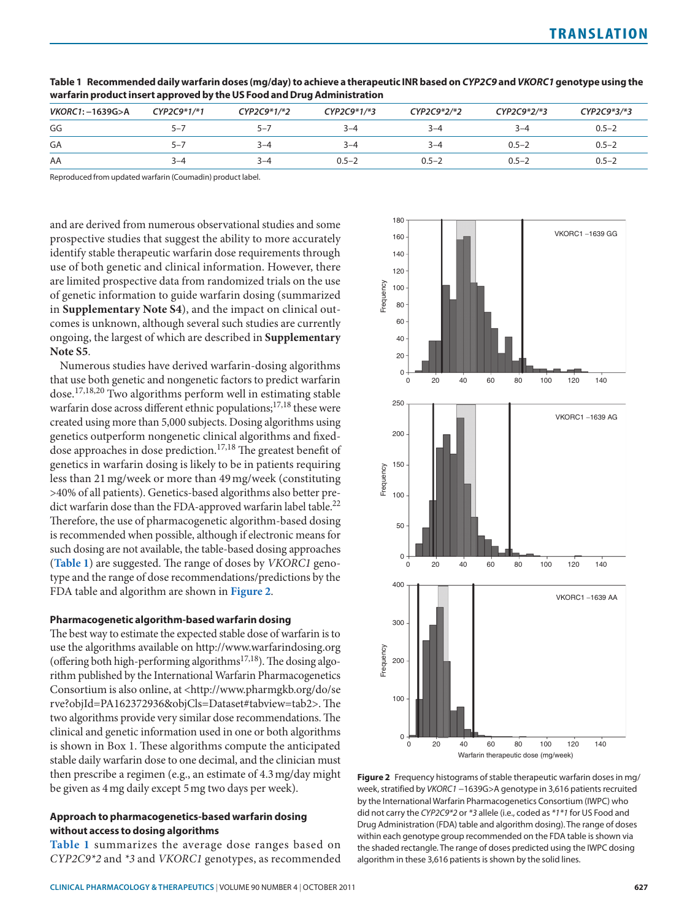| VKORC1:-1639G>A | $CYP2C9*1/*1$ | $CYP2C9*1/*2$ | $CYP2C9*1/*3$ | $CYP2C9*2/*2$ | CYP2C9*2/*3 | CYP2C9*3/*3 |
|-----------------|---------------|---------------|---------------|---------------|-------------|-------------|
| GG              | $5 - 7$       | $5 - 7$       | 3–4           | $3 - 4$       | 3–4         | $0.5 - 2$   |
| GA              | -5–7          | 3–4           | $3 - 4$       | 3–4           | $0.5 - 2$   | $0.5 - 2$   |
| AA              | 3–4           | $3 - 4$       | $0.5 - 2$     | $0.5 - 2$     | $0.5 - 2$   | $0.5 - 2$   |

<span id="page-2-0"></span>**Table 1 Recommended daily warfarin doses (mg/day) to achieve a therapeutic INR based on** *CYP2C9* **and** *VKORC1* **genotype using the warfarin product insert approved by the US Food and Drug Administration**

Reproduced from updated warfarin (Coumadin) product label.

and are derived from numerous observational studies and some prospective studies that suggest the ability to more accurately identify stable therapeutic warfarin dose requirements through use of both genetic and clinical information. However, there are limited prospective data from randomized trials on the use of genetic information to guide warfarin dosing (summarized in **Supplementary Note S4**), and the impact on clinical outcomes is unknown, although several such studies are currently ongoing, the largest of which are described in **Supplementary Note S5**.

Numerous studies have derived warfarin-dosing algorithms that use both genetic and nongenetic factors to predict warfarin dose.17,18,20 Two algorithms perform well in estimating stable warfarin dose across different ethnic populations; $17,18$  these were created using more than 5,000 subjects. Dosing algorithms using genetics outperform nongenetic clinical algorithms and fixeddose approaches in dose prediction.<sup>17,18</sup> The greatest benefit of genetics in warfarin dosing is likely to be in patients requiring less than 21mg/week or more than 49mg/week (constituting >40% of all patients). Genetics-based algorithms also better predict warfarin dose than the FDA-approved warfarin label table.<sup>22</sup> Therefore, the use of pharmacogenetic algorithm-based dosing is recommended when possible, although if electronic means for such dosing are not available, the table-based dosing approaches (**[Table](#page-2-0) 1**) are suggested. The range of doses by *VKORC1* genotype and the range of dose recommendations/predictions by the FDA table and algorithm are shown in **[Figure](#page-2-1) 2**.

## **Pharmacogenetic algorithm-based warfarin dosing**

The best way to estimate the expected stable dose of warfarin is to use the algorithms available on <http://www.warfarindosing.org> (offering both high-performing algorithms<sup>17,18</sup>). The dosing algorithm published by the International Warfarin Pharmacogenetics Consortium is also online, at [<http://www.pharmgkb.org/do/se](http://www.pharmgkb.org/do/serve?objId=PA162372936&objCls=Dataset#tabview=tab2) [rve?objId=PA162372936&objCls=Dataset#tabview=tab2](http://www.pharmgkb.org/do/serve?objId=PA162372936&objCls=Dataset#tabview=tab2)>. The two algorithms provide very similar dose recommendations. The clinical and genetic information used in one or both algorithms is shown in Box 1. These algorithms compute the anticipated stable daily warfarin dose to one decimal, and the clinician must then prescribe a regimen (e.g., an estimate of 4.3mg/day might be given as 4mg daily except 5mg two days per week).

## **Approach to pharmacogenetics-based warfarin dosing without access to dosing algorithms**

**[Table](#page-2-0) 1** summarizes the average dose ranges based on *CYP2C9\*2* and *\*3* and *VKORC1* genotypes, as recommended

<span id="page-2-1"></span>

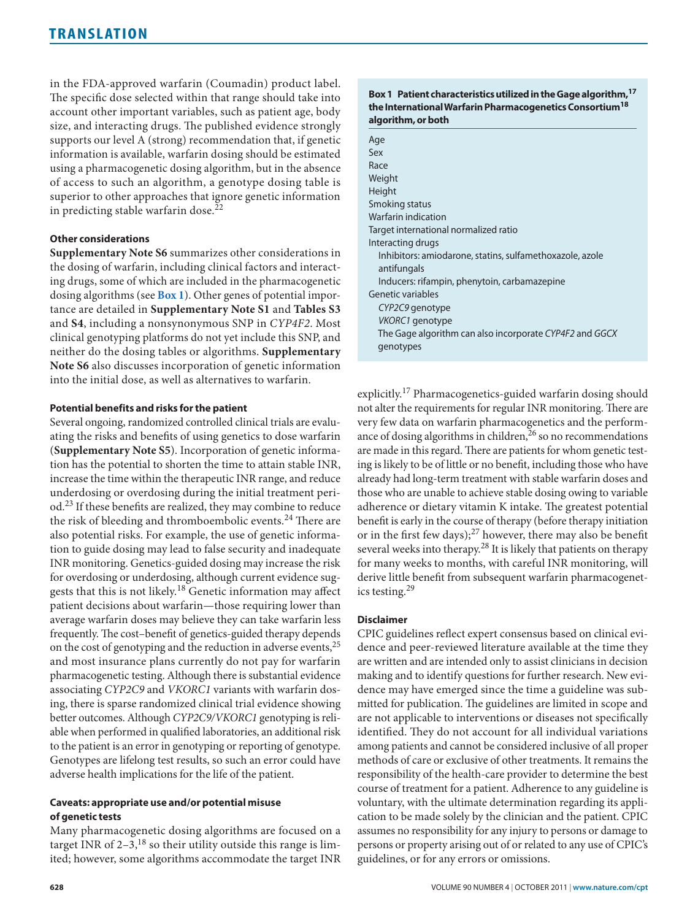in the FDA-approved warfarin (Coumadin) product label. The specific dose selected within that range should take into account other important variables, such as patient age, body size, and interacting drugs. The published evidence strongly supports our level A (strong) recommendation that, if genetic information is available, warfarin dosing should be estimated using a pharmacogenetic dosing algorithm, but in the absence of access to such an algorithm, a genotype dosing table is superior to other approaches that ignore genetic information in predicting stable warfarin dose.<sup>22</sup>

## **Other considerations**

**Supplementary Note S6** summarizes other considerations in the dosing of warfarin, including clinical factors and interacting drugs, some of which are included in the pharmacogenetic dosing algorithms (see **Box 1**). Other genes of potential importance are detailed in **Supplementary Note S1** and **Tables S3** and **S4**, including a nonsynonymous SNP in *CYP4F2*. Most clinical genotyping platforms do not yet include this SNP, and neither do the dosing tables or algorithms. **Supplementary Note S6** also discusses incorporation of genetic information into the initial dose, as well as alternatives to warfarin.

## **Potential benefits and risks for the patient**

Several ongoing, randomized controlled clinical trials are evaluating the risks and benefits of using genetics to dose warfarin (**Supplementary Note S5**). Incorporation of genetic information has the potential to shorten the time to attain stable INR, increase the time within the therapeutic INR range, and reduce underdosing or overdosing during the initial treatment period.23 If these benefits are realized, they may combine to reduce the risk of bleeding and thromboembolic events.<sup>24</sup> There are also potential risks. For example, the use of genetic information to guide dosing may lead to false security and inadequate INR monitoring. Genetics-guided dosing may increase the risk for overdosing or underdosing, although current evidence suggests that this is not likely.18 Genetic information may affect patient decisions about warfarin—those requiring lower than average warfarin doses may believe they can take warfarin less frequently. The cost–benefit of genetics-guided therapy depends on the cost of genotyping and the reduction in adverse events,<sup>25</sup> and most insurance plans currently do not pay for warfarin pharmacogenetic testing. Although there is substantial evidence associating *CYP2C9* and *VKORC1* variants with warfarin dosing, there is sparse randomized clinical trial evidence showing better outcomes. Although *CYP2C9/VKORC1* genotyping is reliable when performed in qualified laboratories, an additional risk to the patient is an error in genotyping or reporting of genotype. Genotypes are lifelong test results, so such an error could have adverse health implications for the life of the patient.

## **Caveats: appropriate use and/or potential misuse of genetic tests**

Many pharmacogenetic dosing algorithms are focused on a target INR of  $2-3$ ,<sup>18</sup> so their utility outside this range is limited; however, some algorithms accommodate the target INR

## **Box 1 Patient characteristics utilized in the Gage algorithm,17 the International Warfarin Pharmacogenetics Consortium18 algorithm, or both**

| Age                                                      |
|----------------------------------------------------------|
| Sex                                                      |
| Race                                                     |
| Weight                                                   |
| Height                                                   |
| Smoking status                                           |
| Warfarin indication                                      |
| Target international normalized ratio                    |
| Interacting drugs                                        |
| Inhibitors: amiodarone, statins, sulfamethoxazole, azole |
| antifungals                                              |
| Inducers: rifampin, phenytoin, carbamazepine             |
| Genetic variables                                        |
| CYP2C9 genotype                                          |
| VKORC1 genotype                                          |
| The Gage algorithm can also incorporate CYP4F2 and GGCX  |
| genotypes                                                |

explicitly.17 Pharmacogenetics-guided warfarin dosing should not alter the requirements for regular INR monitoring. There are very few data on warfarin pharmacogenetics and the performance of dosing algorithms in children, $26$  so no recommendations are made in this regard. There are patients for whom genetic testing is likely to be of little or no benefit, including those who have already had long-term treatment with stable warfarin doses and those who are unable to achieve stable dosing owing to variable adherence or dietary vitamin K intake. The greatest potential benefit is early in the course of therapy (before therapy initiation or in the first few days); $^{27}$  however, there may also be benefit several weeks into therapy.<sup>28</sup> It is likely that patients on therapy for many weeks to months, with careful INR monitoring, will derive little benefit from subsequent warfarin pharmacogenetics testing.<sup>29</sup>

# **Disclaimer**

CPIC guidelines reflect expert consensus based on clinical evidence and peer-reviewed literature available at the time they are written and are intended only to assist clinicians in decision making and to identify questions for further research. New evidence may have emerged since the time a guideline was submitted for publication. The guidelines are limited in scope and are not applicable to interventions or diseases not specifically identified. They do not account for all individual variations among patients and cannot be considered inclusive of all proper methods of care or exclusive of other treatments. It remains the responsibility of the health-care provider to determine the best course of treatment for a patient. Adherence to any guideline is voluntary, with the ultimate determination regarding its application to be made solely by the clinician and the patient. CPIC assumes no responsibility for any injury to persons or damage to persons or property arising out of or related to any use of CPIC's guidelines, or for any errors or omissions.